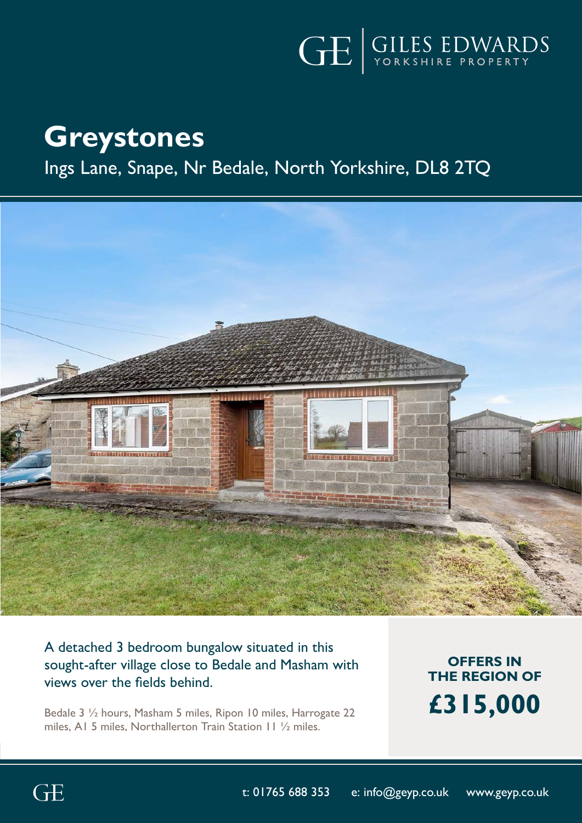

# **Greystones**

# Ings Lane, Snape, Nr Bedale, North Yorkshire, DL8 2TQ



# A detached 3 bedroom bungalow situated in this sought-after village close to Bedale and Masham with views over the fields behind.

Bedale 3 ½ hours, Masham 5 miles, Ripon 10 miles, Harrogate 22 miles, A1 5 miles, Northallerton Train Station 11 ½ miles.

**OFFERS IN THE REGION OF £315,000**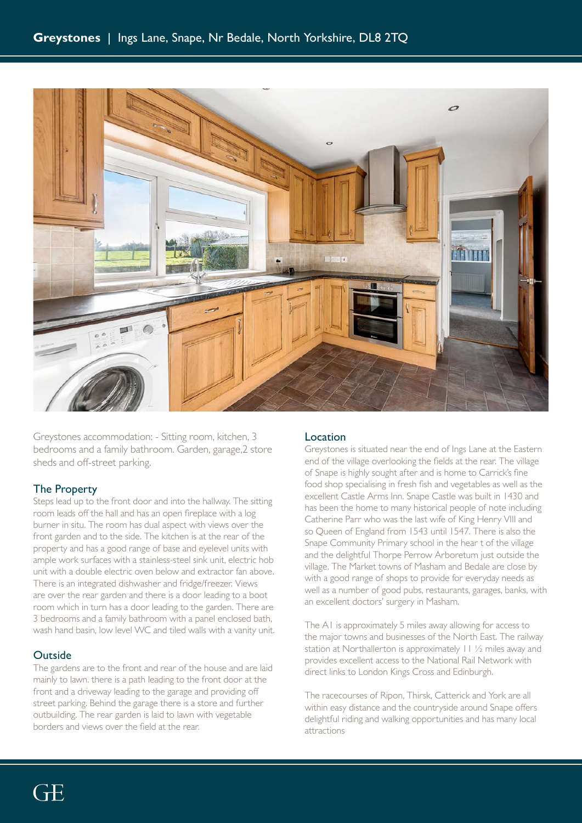

Greystones accommodation: - Sitting room, kitchen, 3 bedrooms and a family bathroom. Garden, garage,2 store sheds and off-street parking.

# The Property

Steps lead up to the front door and into the hallway. The sitting room leads off the hall and has an open fireplace with a log burner in situ. The room has dual aspect with views over the front garden and to the side. The kitchen is at the rear of the property and has a good range of base and eyelevel units with ample work surfaces with a stainless-steel sink unit, electric hob unit with a double electric oven below and extractor fan above. There is an integrated dishwasher and fridge/freezer. Views are over the rear garden and there is a door leading to a boot room which in turn has a door leading to the garden. There are 3 bedrooms and a family bathroom with a panel enclosed bath, wash hand basin, low level WC and tiled walls with a vanity unit.

## **Outside**

The gardens are to the front and rear of the house and are laid mainly to lawn. there is a path leading to the front door at the front and a driveway leading to the garage and providing off street parking. Behind the garage there is a store and further outbuilding. The rear garden is laid to lawn with vegetable borders and views over the field at the rear.

## Location

Greystones is situated near the end of Ings Lane at the Eastern end of the village overlooking the fields at the rear. The village of Snape is highly sought after and is home to Carrick's fine food shop specialising in fresh fish and vegetables as well as the excellent Castle Arms Inn. Snape Castle was built in 1430 and has been the home to many historical people of note including Catherine Parr who was the last wife of King Henry VIII and so Queen of England from 1543 until 1547. There is also the Snape Community Primary school in the hear t of the village and the delightful Thorpe Perrow Arboretum just outside the village. The Market towns of Masham and Bedale are close by with a good range of shops to provide for everyday needs as well as a number of good pubs, restaurants, garages, banks, with an excellent doctors' surgery in Masham.

The A1 is approximately 5 miles away allowing for access to the major towns and businesses of the North East. The railway station at Northallerton is approximately 11 ½ miles away and provides excellent access to the National Rail Network with direct links to London Kings Cross and Edinburgh.

The racecourses of Ripon, Thirsk, Catterick and York are all within easy distance and the countryside around Snape offers delightful riding and walking opportunities and has many local attractions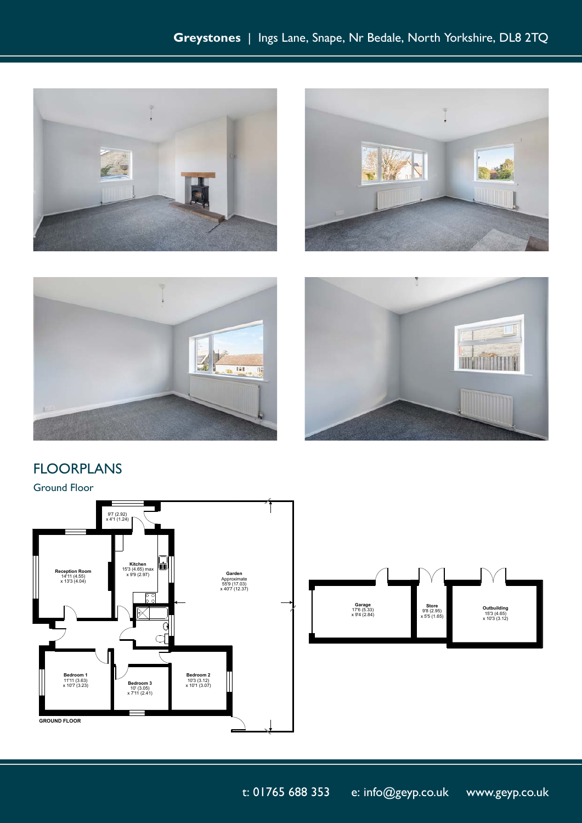







# FLOORPLANS

Ground Floor





t: 01765 688 353 e: info@geyp.co.uk www.geyp.co.uk